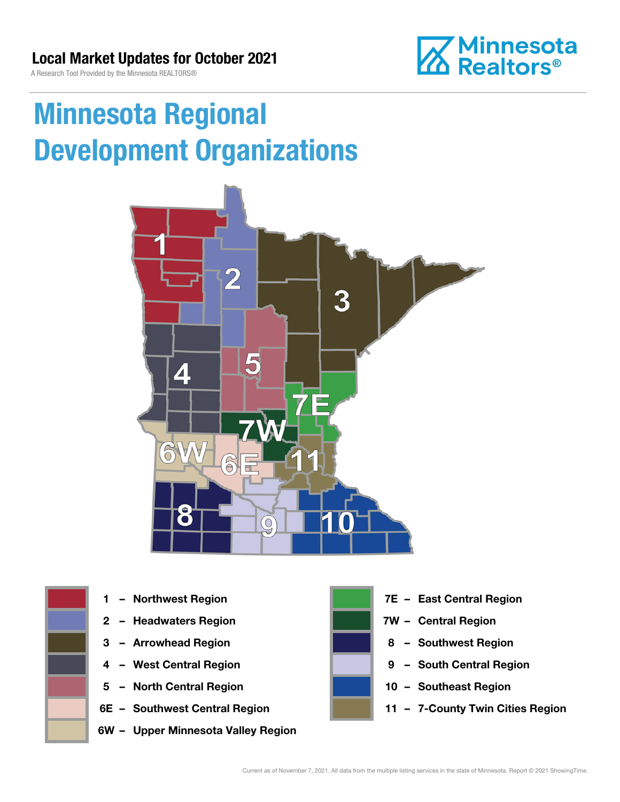**Z** Minnesota<br>**ZA Realtors**®

A Research Tool Provided by the Minnesota REALTORS®

# Minnesota Regional Development Organizations





- 
- 2 Headwaters Region **1988 7W Central Region**
- 
- 
- 5 North Central Region 10 Southeast Region
- 
- 6W Upper Minnesota Valley Region



- 1 Northwest Region **1 1999 12 Property Contral Region** 
	-
- 3 Arrowhead Region **8 Southwest Region**
- 4 West Central Region **19 South Central Region** 
	-
- 6E Southwest Central Region 11 7-County Twin Cities Region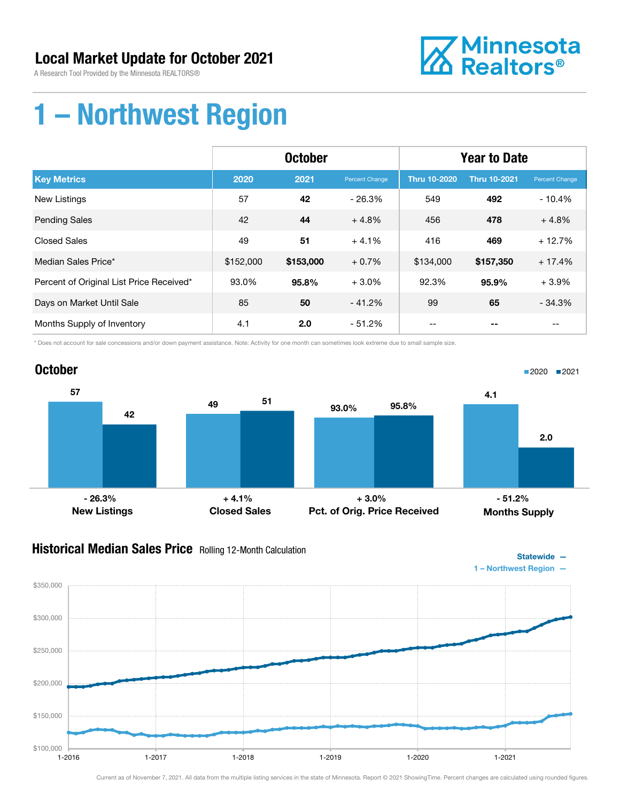A Research Tool Provided by the Minnesota REALTORS®



## 1 – Northwest Region

|                                          | <b>October</b> |           |                | <b>Year to Date</b> |                     |                          |
|------------------------------------------|----------------|-----------|----------------|---------------------|---------------------|--------------------------|
| <b>Key Metrics</b>                       | 2020           | 2021      | Percent Change | <b>Thru 10-2020</b> | <b>Thru 10-2021</b> | Percent Change           |
| <b>New Listings</b>                      | 57             | 42        | $-26.3%$       | 549                 | 492                 | $-10.4%$                 |
| <b>Pending Sales</b>                     | 42             | 44        | $+4.8%$        | 456                 | 478                 | $+4.8%$                  |
| <b>Closed Sales</b>                      | 49             | 51        | $+4.1%$        | 416                 | 469                 | $+12.7%$                 |
| Median Sales Price*                      | \$152,000      | \$153,000 | $+0.7%$        | \$134,000           | \$157,350           | $+17.4%$                 |
| Percent of Original List Price Received* | 93.0%          | 95.8%     | $+3.0%$        | 92.3%               | 95.9%               | $+3.9%$                  |
| Days on Market Until Sale                | 85             | 50        | $-41.2%$       | 99                  | 65                  | $-34.3%$                 |
| Months Supply of Inventory               | 4.1            | 2.0       | - 51.2%        | $- -$               | --                  | $\overline{\phantom{m}}$ |

\* Does not account for sale concessions and/or down payment assistance. Note: Activity for one month can sometimes look extreme due to small sample size.



#### **Historical Median Sales Price** Rolling 12-Month Calculation

\$350,000



Statewide —

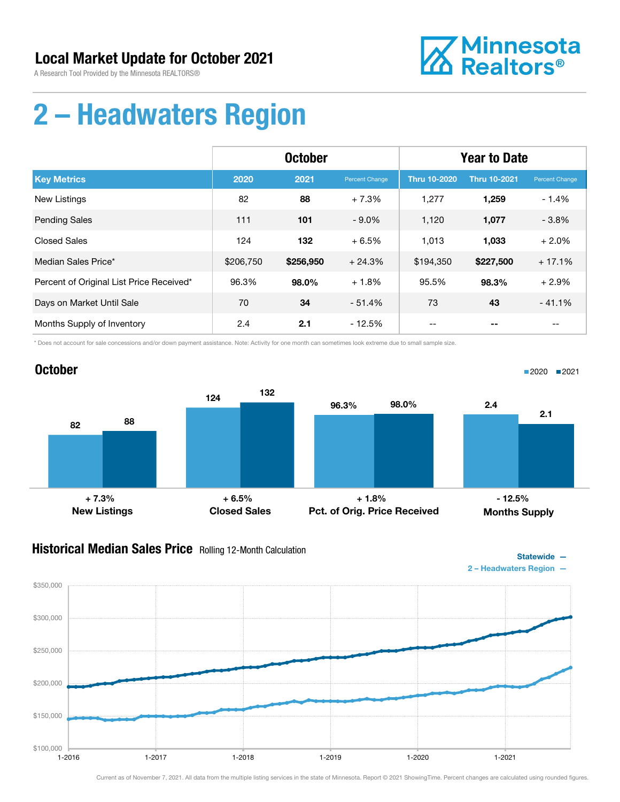A Research Tool Provided by the Minnesota REALTORS®

**October** 



## 2 – Headwaters Region

|                                          | <b>October</b> |           |                | <b>Year to Date</b> |                     |                |
|------------------------------------------|----------------|-----------|----------------|---------------------|---------------------|----------------|
| <b>Key Metrics</b>                       | 2020           | 2021      | Percent Change | <b>Thru 10-2020</b> | <b>Thru 10-2021</b> | Percent Change |
| <b>New Listings</b>                      | 82             | 88        | $+7.3%$        | 1,277               | 1,259               | $-1.4%$        |
| <b>Pending Sales</b>                     | 111            | 101       | $-9.0\%$       | 1,120               | 1,077               | $-3.8%$        |
| <b>Closed Sales</b>                      | 124            | 132       | $+6.5%$        | 1,013               | 1,033               | $+2.0%$        |
| Median Sales Price*                      | \$206,750      | \$256,950 | $+24.3%$       | \$194,350           | \$227,500           | $+17.1%$       |
| Percent of Original List Price Received* | 96.3%          | 98.0%     | $+1.8%$        | 95.5%               | 98.3%               | $+2.9%$        |
| Days on Market Until Sale                | 70             | 34        | $-51.4%$       | 73                  | 43                  | $-41.1%$       |
| Months Supply of Inventory               | 2.4            | 2.1       | $-12.5%$       |                     |                     |                |

\* Does not account for sale concessions and/or down payment assistance. Note: Activity for one month can sometimes look extreme due to small sample size.

#### 82 124 88 132 New Listings Closed Sales 96.3% 98.0% Pct. of Orig. Price Received 2.4 2.1 Months Supply  $+ 7.3\%$  - 12.5% + 6.5% + 1.8% + 1.8% + 1.8% + 1.8%

#### **Historical Median Sales Price** Rolling 12-Month Calculation



■2020 2021

Statewide —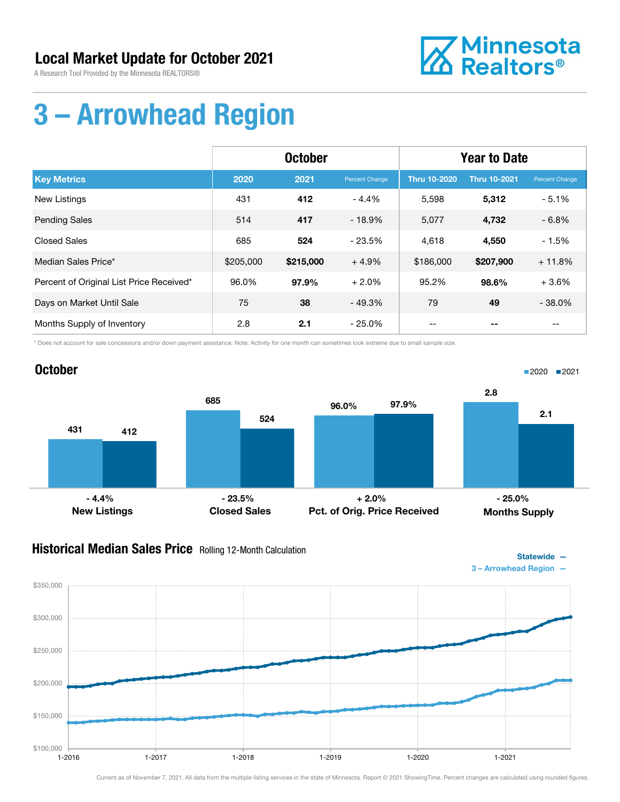A Research Tool Provided by the Minnesota REALTORS®



## 3 – Arrowhead Region

|                                          | <b>October</b> |           |                | <b>Year to Date</b> |                     |                |
|------------------------------------------|----------------|-----------|----------------|---------------------|---------------------|----------------|
| <b>Key Metrics</b>                       | 2020           | 2021      | Percent Change | <b>Thru 10-2020</b> | <b>Thru 10-2021</b> | Percent Change |
| New Listings                             | 431            | 412       | $-4.4%$        | 5,598               | 5,312               | $-5.1%$        |
| <b>Pending Sales</b>                     | 514            | 417       | $-18.9%$       | 5,077               | 4,732               | $-6.8%$        |
| <b>Closed Sales</b>                      | 685            | 524       | $-23.5%$       | 4.618               | 4,550               | $-1.5%$        |
| Median Sales Price*                      | \$205,000      | \$215,000 | $+4.9%$        | \$186,000           | \$207,900           | $+11.8%$       |
| Percent of Original List Price Received* | 96.0%          | 97.9%     | $+2.0%$        | 95.2%               | 98.6%               | $+3.6%$        |
| Days on Market Until Sale                | 75             | 38        | $-49.3%$       | 79                  | 49                  | $-38.0%$       |
| Months Supply of Inventory               | 2.8            | 2.1       | - 25.0%        |                     |                     |                |

\* Does not account for sale concessions and/or down payment assistance. Note: Activity for one month can sometimes look extreme due to small sample size.



#### **Historical Median Sales Price** Rolling 12-Month Calculation



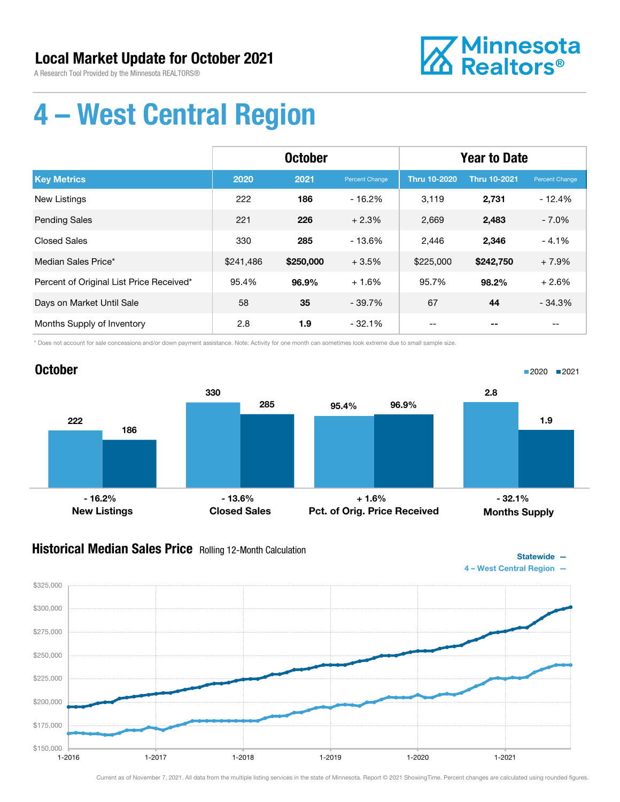A Research Tool Provided by the Minnesota REALTORS®



Statewide —

# 4 – West Central Region

|                                          | <b>October</b> |           |                | <b>Year to Date</b> |                     |                       |
|------------------------------------------|----------------|-----------|----------------|---------------------|---------------------|-----------------------|
| <b>Key Metrics</b>                       | 2020           | 2021      | Percent Change | <b>Thru 10-2020</b> | <b>Thru 10-2021</b> | <b>Percent Change</b> |
| New Listings                             | 222            | 186       | $-16.2%$       | 3,119               | 2,731               | $-12.4%$              |
| <b>Pending Sales</b>                     | 221            | 226       | $+2.3%$        | 2,669               | 2,483               | $-7.0%$               |
| <b>Closed Sales</b>                      | 330            | 285       | $-13.6%$       | 2,446               | 2,346               | $-4.1%$               |
| Median Sales Price*                      | \$241,486      | \$250,000 | $+3.5%$        | \$225,000           | \$242,750           | $+7.9%$               |
| Percent of Original List Price Received* | 95.4%          | 96.9%     | $+1.6%$        | 95.7%               | 98.2%               | $+2.6%$               |
| Days on Market Until Sale                | 58             | 35        | $-39.7%$       | 67                  | 44                  | $-34.3%$              |
| Months Supply of Inventory               | 2.8            | 1.9       | $-32.1%$       |                     |                     | --                    |

\* Does not account for sale concessions and/or down payment assistance. Note: Activity for one month can sometimes look extreme due to small sample size.



### Historical Median Sales Price Rolling 12-Month Calculation

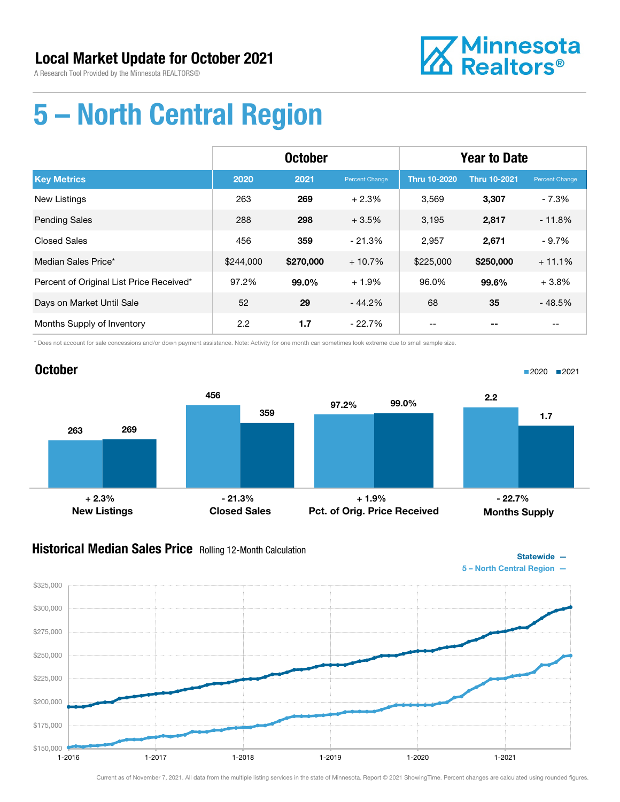

# 5 – North Central Region

|                                          | <b>October</b> |           |                | <b>Year to Date</b> |                     |                       |
|------------------------------------------|----------------|-----------|----------------|---------------------|---------------------|-----------------------|
| <b>Key Metrics</b>                       | 2020           | 2021      | Percent Change | <b>Thru 10-2020</b> | <b>Thru 10-2021</b> | <b>Percent Change</b> |
| <b>New Listings</b>                      | 263            | 269       | $+2.3%$        | 3.569               | 3,307               | $-7.3%$               |
| <b>Pending Sales</b>                     | 288            | 298       | $+3.5%$        | 3,195               | 2,817               | $-11.8%$              |
| <b>Closed Sales</b>                      | 456            | 359       | $-21.3%$       | 2,957               | 2,671               | $-9.7%$               |
| Median Sales Price*                      | \$244,000      | \$270,000 | $+10.7%$       | \$225,000           | \$250,000           | $+11.1%$              |
| Percent of Original List Price Received* | 97.2%          | 99.0%     | $+1.9%$        | 96.0%               | 99.6%               | $+3.8%$               |
| Days on Market Until Sale                | 52             | 29        | $-44.2\%$      | 68                  | 35                  | $-48.5%$              |
| Months Supply of Inventory               | 2.2            | 1.7       | $-22.7\%$      |                     |                     |                       |

\* Does not account for sale concessions and/or down payment assistance. Note: Activity for one month can sometimes look extreme due to small sample size.

#### October 263 456 269 359 New Listings Closed Sales 97.2% 99.0% Pct. of Orig. Price Received 2.2 1.7 Months Supply + 2.3% - 21.3% + 1.9% - 22.7%

#### **Historical Median Sales Price** Rolling 12-Month Calculation



■2020 2021

Statewide —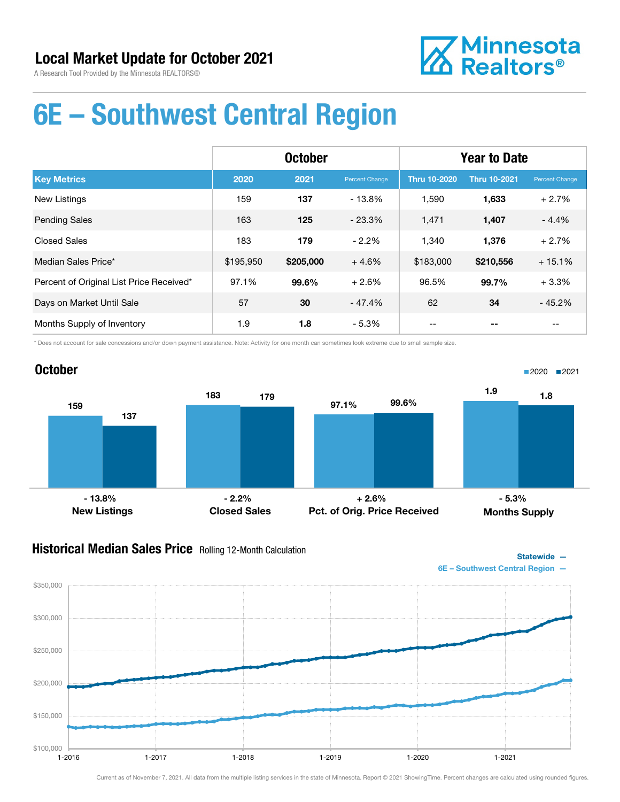

## 6E – Southwest Central Region

|                                          | <b>October</b> |           |                       | <b>Year to Date</b> |                     |                |
|------------------------------------------|----------------|-----------|-----------------------|---------------------|---------------------|----------------|
| <b>Key Metrics</b>                       | 2020           | 2021      | <b>Percent Change</b> | <b>Thru 10-2020</b> | <b>Thru 10-2021</b> | Percent Change |
| <b>New Listings</b>                      | 159            | 137       | $-13.8%$              | 1,590               | 1,633               | $+2.7%$        |
| <b>Pending Sales</b>                     | 163            | 125       | $-23.3%$              | 1,471               | 1,407               | $-4.4%$        |
| <b>Closed Sales</b>                      | 183            | 179       | $-2.2%$               | 1,340               | 1,376               | $+2.7%$        |
| Median Sales Price*                      | \$195,950      | \$205,000 | $+4.6%$               | \$183,000           | \$210,556           | $+15.1%$       |
| Percent of Original List Price Received* | 97.1%          | 99.6%     | $+2.6%$               | 96.5%               | 99.7%               | $+3.3%$        |
| Days on Market Until Sale                | 57             | 30        | $-47.4%$              | 62                  | 34                  | $-45.2%$       |
| Months Supply of Inventory               | 1.9            | 1.8       | $-5.3%$               | --                  |                     | $- -$          |

\* Does not account for sale concessions and/or down payment assistance. Note: Activity for one month can sometimes look extreme due to small sample size.



#### **Historical Median Sales Price** Rolling 12-Month Calculation



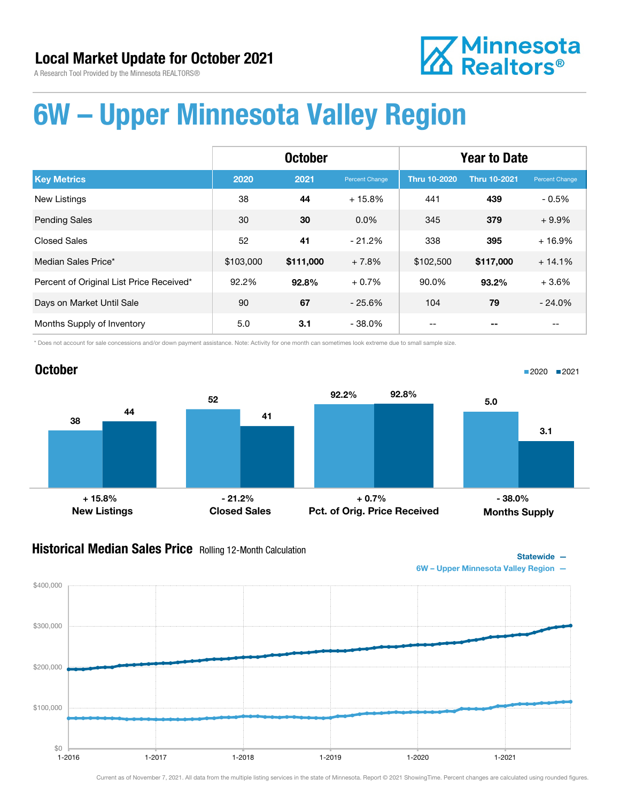**Z** Minnesota<br>**ZA** Realtors<sup>®</sup>

A Research Tool Provided by the Minnesota REALTORS®

# 6W – Upper Minnesota Valley Region

|                                          | <b>October</b> |           |                       | <b>Year to Date</b> |                     |                |
|------------------------------------------|----------------|-----------|-----------------------|---------------------|---------------------|----------------|
| <b>Key Metrics</b>                       | 2020           | 2021      | <b>Percent Change</b> | <b>Thru 10-2020</b> | <b>Thru 10-2021</b> | Percent Change |
| <b>New Listings</b>                      | 38             | 44        | $+15.8%$              | 441                 | 439                 | $-0.5%$        |
| <b>Pending Sales</b>                     | 30             | 30        | $0.0\%$               | 345                 | 379                 | $+9.9%$        |
| Closed Sales                             | 52             | 41        | $-21.2%$              | 338                 | 395                 | $+16.9%$       |
| Median Sales Price*                      | \$103,000      | \$111,000 | $+7.8%$               | \$102,500           | \$117,000           | $+14.1%$       |
| Percent of Original List Price Received* | 92.2%          | 92.8%     | $+0.7%$               | 90.0%               | 93.2%               | $+3.6%$        |
| Days on Market Until Sale                | 90             | 67        | $-25.6%$              | 104                 | 79                  | $-24.0%$       |
| Months Supply of Inventory               | 5.0            | 3.1       | $-38.0\%$             |                     |                     | $- -$          |

\* Does not account for sale concessions and/or down payment assistance. Note: Activity for one month can sometimes look extreme due to small sample size.



#### **Historical Median Sales Price** Rolling 12-Month Calculation



1-2016 1-2017 1-2018 1-2019 1-2020 1-2021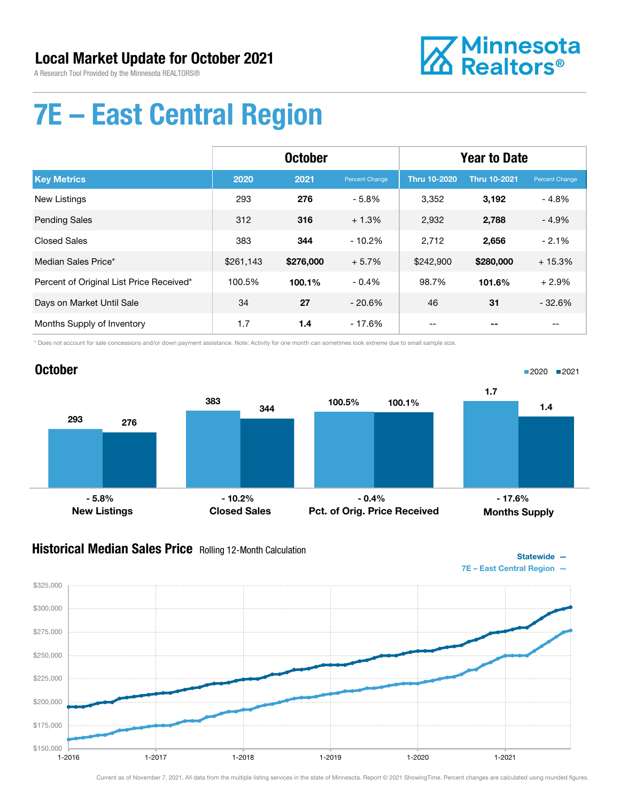

Statewide —

# 7E – East Central Region

|                                          | <b>October</b> |           |                       | <b>Year to Date</b> |                     |                |
|------------------------------------------|----------------|-----------|-----------------------|---------------------|---------------------|----------------|
| <b>Key Metrics</b>                       | 2020           | 2021      | <b>Percent Change</b> | <b>Thru 10-2020</b> | <b>Thru 10-2021</b> | Percent Change |
| <b>New Listings</b>                      | 293            | 276       | $-5.8%$               | 3,352               | 3,192               | $-4.8%$        |
| <b>Pending Sales</b>                     | 312            | 316       | $+1.3%$               | 2,932               | 2,788               | $-4.9%$        |
| Closed Sales                             | 383            | 344       | $-10.2\%$             | 2,712               | 2,656               | $-2.1%$        |
| Median Sales Price*                      | \$261,143      | \$276,000 | $+5.7%$               | \$242,900           | \$280,000           | $+15.3%$       |
| Percent of Original List Price Received* | 100.5%         | 100.1%    | $-0.4%$               | 98.7%               | 101.6%              | $+2.9%$        |
| Days on Market Until Sale                | 34             | 27        | $-20.6\%$             | 46                  | 31                  | $-32.6%$       |
| Months Supply of Inventory               | 1.7            | 1.4       | $-17.6%$              |                     | --                  | $- -$          |

\* Does not account for sale concessions and/or down payment assistance. Note: Activity for one month can sometimes look extreme due to small sample size.



#### **Historical Median Sales Price** Rolling 12-Month Calculation

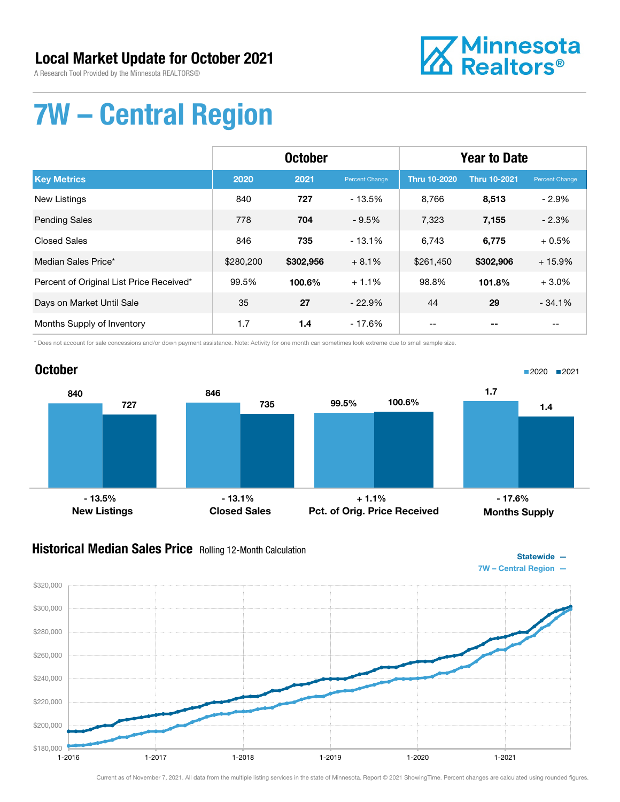A Research Tool Provided by the Minnesota REALTORS®



# 7W – Central Region

|                                          | <b>October</b> |           |                       | <b>Year to Date</b> |                     |                       |
|------------------------------------------|----------------|-----------|-----------------------|---------------------|---------------------|-----------------------|
| <b>Key Metrics</b>                       | 2020           | 2021      | <b>Percent Change</b> | <b>Thru 10-2020</b> | <b>Thru 10-2021</b> | <b>Percent Change</b> |
| <b>New Listings</b>                      | 840            | 727       | $-13.5%$              | 8.766               | 8,513               | $-2.9%$               |
| <b>Pending Sales</b>                     | 778            | 704       | $-9.5%$               | 7,323               | 7,155               | $-2.3%$               |
| Closed Sales                             | 846            | 735       | $-13.1%$              | 6,743               | 6,775               | $+0.5%$               |
| Median Sales Price*                      | \$280,200      | \$302,956 | $+8.1%$               | \$261,450           | \$302,906           | $+15.9%$              |
| Percent of Original List Price Received* | 99.5%          | 100.6%    | $+1.1%$               | 98.8%               | 101.8%              | $+3.0%$               |
| Days on Market Until Sale                | 35             | 27        | $-22.9%$              | 44                  | 29                  | $-34.1%$              |
| Months Supply of Inventory               | 1.7            | 1.4       | $-17.6%$              | --                  |                     | $- -$                 |

\* Does not account for sale concessions and/or down payment assistance. Note: Activity for one month can sometimes look extreme due to small sample size.



#### **Historical Median Sales Price** Rolling 12-Month Calculation



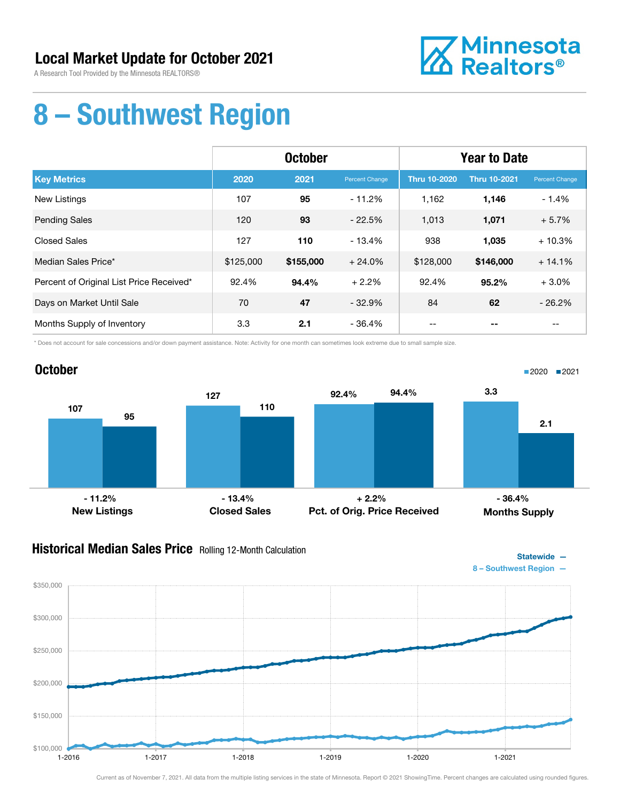A Research Tool Provided by the Minnesota REALTORS®



## 8 – Southwest Region

|                                          | <b>October</b> |           |                | <b>Year to Date</b> |                     |                |
|------------------------------------------|----------------|-----------|----------------|---------------------|---------------------|----------------|
| <b>Key Metrics</b>                       | 2020           | 2021      | Percent Change | <b>Thru 10-2020</b> | <b>Thru 10-2021</b> | Percent Change |
| <b>New Listings</b>                      | 107            | 95        | $-11.2%$       | 1,162               | 1,146               | $-1.4%$        |
| <b>Pending Sales</b>                     | 120            | 93        | $-22.5%$       | 1,013               | 1,071               | $+5.7%$        |
| <b>Closed Sales</b>                      | 127            | 110       | $-13.4%$       | 938                 | 1,035               | $+10.3%$       |
| Median Sales Price*                      | \$125,000      | \$155,000 | $+24.0%$       | \$128,000           | \$146,000           | $+14.1%$       |
| Percent of Original List Price Received* | 92.4%          | 94.4%     | $+2.2%$        | 92.4%               | 95.2%               | $+3.0%$        |
| Days on Market Until Sale                | 70             | 47        | $-32.9%$       | 84                  | 62                  | $-26.2%$       |
| Months Supply of Inventory               | 3.3            | 2.1       | $-36.4%$       | --                  |                     | $- -$          |

\* Does not account for sale concessions and/or down payment assistance. Note: Activity for one month can sometimes look extreme due to small sample size.



#### **Historical Median Sales Price** Rolling 12-Month Calculation



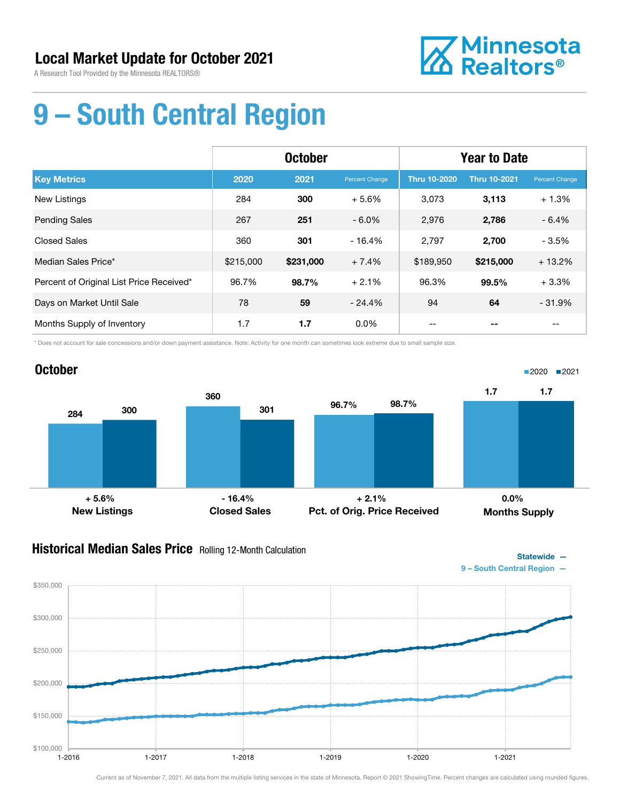

Statewide —

# 9 – South Central Region

|                                          | <b>October</b> |           |                | <b>Year to Date</b> |                     |                |
|------------------------------------------|----------------|-----------|----------------|---------------------|---------------------|----------------|
| <b>Key Metrics</b>                       | 2020           | 2021      | Percent Change | <b>Thru 10-2020</b> | <b>Thru 10-2021</b> | Percent Change |
| <b>New Listings</b>                      | 284            | 300       | $+5.6%$        | 3,073               | 3,113               | $+1.3%$        |
| <b>Pending Sales</b>                     | 267            | 251       | $-6.0\%$       | 2,976               | 2,786               | $-6.4%$        |
| <b>Closed Sales</b>                      | 360            | 301       | $-16.4%$       | 2,797               | 2,700               | $-3.5%$        |
| Median Sales Price*                      | \$215,000      | \$231,000 | $+7.4%$        | \$189,950           | \$215,000           | $+13.2%$       |
| Percent of Original List Price Received* | 96.7%          | 98.7%     | $+2.1%$        | 96.3%               | 99.5%               | $+3.3%$        |
| Days on Market Until Sale                | 78             | 59        | $-24.4%$       | 94                  | 64                  | $-31.9%$       |
| Months Supply of Inventory               | 1.7            | 1.7       | $0.0\%$        |                     |                     |                |

\* Does not account for sale concessions and/or down payment assistance. Note: Activity for one month can sometimes look extreme due to small sample size.



#### **Historical Median Sales Price** Rolling 12-Month Calculation

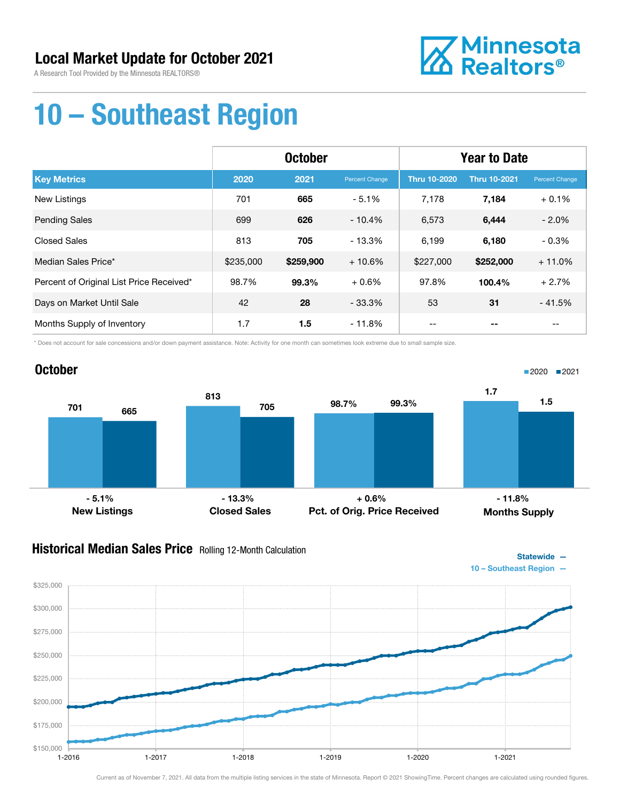A Research Tool Provided by the Minnesota REALTORS®



Statewide —

## 10 – Southeast Region

|                                          | <b>October</b> |           |                | <b>Year to Date</b> |                     |                |
|------------------------------------------|----------------|-----------|----------------|---------------------|---------------------|----------------|
| <b>Key Metrics</b>                       | 2020           | 2021      | Percent Change | <b>Thru 10-2020</b> | <b>Thru 10-2021</b> | Percent Change |
| New Listings                             | 701            | 665       | $-5.1%$        | 7,178               | 7,184               | $+0.1%$        |
| <b>Pending Sales</b>                     | 699            | 626       | $-10.4%$       | 6,573               | 6,444               | $-2.0%$        |
| <b>Closed Sales</b>                      | 813            | 705       | $-13.3%$       | 6,199               | 6,180               | $-0.3%$        |
| Median Sales Price*                      | \$235,000      | \$259,900 | $+10.6%$       | \$227,000           | \$252,000           | $+11.0%$       |
| Percent of Original List Price Received* | 98.7%          | 99.3%     | $+0.6%$        | 97.8%               | 100.4%              | $+2.7%$        |
| Days on Market Until Sale                | 42             | 28        | $-33.3%$       | 53                  | 31                  | $-41.5%$       |
| Months Supply of Inventory               | 1.7            | 1.5       | $-11.8%$       |                     |                     |                |

\* Does not account for sale concessions and/or down payment assistance. Note: Activity for one month can sometimes look extreme due to small sample size.



#### **Historical Median Sales Price** Rolling 12-Month Calculation